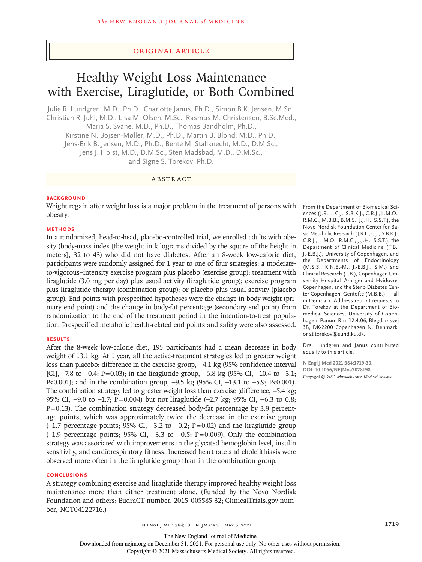### Original Article

# Healthy Weight Loss Maintenance with Exercise, Liraglutide, or Both Combined

Julie R. Lundgren, M.D., Ph.D., Charlotte Janus, Ph.D., Simon B.K. Jensen, M.Sc., Christian R. Juhl, M.D., Lisa M. Olsen, M.Sc., Rasmus M. Christensen, B.Sc.Med., Maria S. Svane, M.D., Ph.D., Thomas Bandholm, Ph.D., Kirstine N. Bojsen-Møller, M.D., Ph.D., Martin B. Blond, M.D., Ph.D., Jens-Erik B. Jensen, M.D., Ph.D., Bente M. Stallknecht, M.D., D.M.Sc., Jens J. Holst, M.D., D.M.Sc., Sten Madsbad, M.D., D.M.Sc., and Signe S. Torekov, Ph.D.

# ABSTRACT

#### **BACKGROUND**

Weight regain after weight loss is a major problem in the treatment of persons with obesity.

#### **METHODS**

In a randomized, head-to-head, placebo-controlled trial, we enrolled adults with obesity (body-mass index [the weight in kilograms divided by the square of the height in meters], 32 to 43) who did not have diabetes. After an 8-week low-calorie diet, participants were randomly assigned for 1 year to one of four strategies: a moderateto-vigorous–intensity exercise program plus placebo (exercise group); treatment with liraglutide (3.0 mg per day) plus usual activity (liraglutide group); exercise program plus liraglutide therapy (combination group); or placebo plus usual activity (placebo group). End points with prespecified hypotheses were the change in body weight (primary end point) and the change in body-fat percentage (secondary end point) from randomization to the end of the treatment period in the intention-to-treat population. Prespecified metabolic health-related end points and safety were also assessed.

#### **RESULTS**

After the 8-week low-calorie diet, 195 participants had a mean decrease in body weight of 13.1 kg. At 1 year, all the active-treatment strategies led to greater weight loss than placebo: difference in the exercise group, −4.1 kg (95% confidence interval [CI],  $-7.8$  to  $-0.4$ ; P=0.03); in the liraglutide group,  $-6.8$  kg (95% CI,  $-10.4$  to  $-3.1$ ; P<0.001); and in the combination group, -9.5 kg (95% CI, -13.1 to -5.9; P<0.001). The combination strategy led to greater weight loss than exercise (difference, -5.4 kg; 95% CI, -9.0 to -1.7; P=0.004) but not liraglutide (-2.7 kg; 95% CI, -6.3 to 0.8;  $P = 0.13$ ). The combination strategy decreased body-fat percentage by 3.9 percentage points, which was approximately twice the decrease in the exercise group  $(-1.7)$  percentage points; 95% CI,  $-3.2$  to  $-0.2$ ; P=0.02) and the liraglutide group  $(-1.9)$  percentage points; 95% CI,  $-3.3$  to  $-0.5$ ; P=0.009). Only the combination strategy was associated with improvements in the glycated hemoglobin level, insulin sensitivity, and cardiorespiratory fitness. Increased heart rate and cholelithiasis were observed more often in the liraglutide group than in the combination group.

#### **CONCLUSIONS**

A strategy combining exercise and liraglutide therapy improved healthy weight loss maintenance more than either treatment alone. (Funded by the Novo Nordisk Foundation and others; EudraCT number, 2015-005585-32; ClinicalTrials.gov number, NCT04122716.)

From the Department of Biomedical Sciences (J.R.L., C.J., S.B.K.J., C.R.J., L.M.O., R.M.C., M.B.B., B.M.S., J.J.H., S.S.T.), the Novo Nordisk Foundation Center for Basic Metabolic Research (J.R.L., C.J., S.B.K.J., C.R.J., L.M.O., R.M.C., J.J.H., S.S.T.), the Department of Clinical Medicine (T.B., J.-E.B.J.), University of Copenhagen, and the Departments of Endocrinology (M.S.S., K.N.B.-M., J.-E.B.J., S.M.) and Clinical Research (T.B.), Copenhagen University Hospital–Amager and Hvidovre, Copenhagen, and the Steno Diabetes Center Copenhagen, Gentofte (M.B.B.) — all in Denmark. Address reprint requests to Dr. Torekov at the Department of Biomedical Sciences, University of Copenhagen, Panum Rm. 12.4.06, Blegdamsvej 3B, DK-2200 Copenhagen N, Denmark, or at torekov@sund.ku.dk.

Drs. Lundgren and Janus contributed equally to this article.

**N Engl J Med 2021;384:1719-30. DOI: 10.1056/NEJMoa2028198** *Copyright © 2021 Massachusetts Medical Society.*

The New England Journal of Medicine

Downloaded from nejm.org on December 31, 2021. For personal use only. No other uses without permission.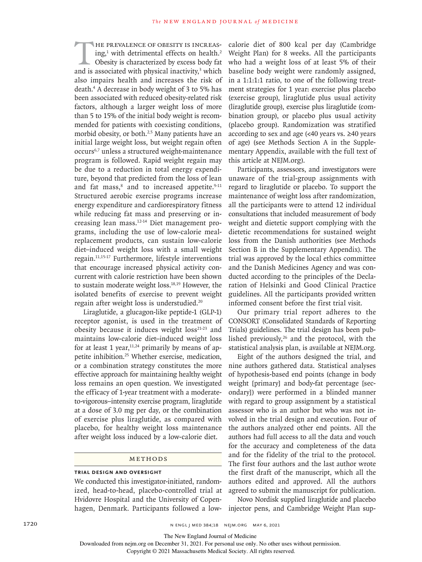HE PREVALENCE OF OBESITY IS INCREAS-<br>ing,<sup>1</sup> with detrimental effects on health.<sup>2</sup><br>Obesity is characterized by excess body fat<br>and is associated with physical inactivity,<sup>3</sup> which HE PREVALENCE OF OBESITY IS INCREASing,<sup>1</sup> with detrimental effects on health.<sup>2</sup> Obesity is characterized by excess body fat also impairs health and increases the risk of death.<sup>4</sup> A decrease in body weight of 3 to 5% has been associated with reduced obesity-related risk factors, although a larger weight loss of more than 5 to 15% of the initial body weight is recommended for patients with coexisting conditions, morbid obesity, or both.<sup>2,5</sup> Many patients have an initial large weight loss, but weight regain often occurs6,7 unless a structured weight-maintenance program is followed. Rapid weight regain may be due to a reduction in total energy expenditure, beyond that predicted from the loss of lean and fat mass,<sup>8</sup> and to increased appetite.<sup>9-11</sup> Structured aerobic exercise programs increase energy expenditure and cardiorespiratory fitness while reducing fat mass and preserving or increasing lean mass.12-14 Diet management programs, including the use of low-calorie mealreplacement products, can sustain low-calorie diet–induced weight loss with a small weight regain.11,15-17 Furthermore, lifestyle interventions that encourage increased physical activity concurrent with calorie restriction have been shown to sustain moderate weight loss.18,19 However, the isolated benefits of exercise to prevent weight regain after weight loss is understudied.<sup>20</sup>

Liraglutide, a glucagon-like peptide-1 (GLP-1) receptor agonist, is used in the treatment of obesity because it induces weight loss<sup>21-23</sup> and maintains low-calorie diet–induced weight loss for at least 1 year,  $11,24}$  primarily by means of appetite inhibition.<sup>25</sup> Whether exercise, medication, or a combination strategy constitutes the more effective approach for maintaining healthy weight loss remains an open question. We investigated the efficacy of 1-year treatment with a moderateto-vigorous–intensity exercise program, liraglutide at a dose of 3.0 mg per day, or the combination of exercise plus liraglutide, as compared with placebo, for healthy weight loss maintenance after weight loss induced by a low-calorie diet.

#### Methods

#### **Trial Design and Oversight**

We conducted this investigator-initiated, randomized, head-to-head, placebo-controlled trial at Hvidovre Hospital and the University of Copenhagen, Denmark. Participants followed a lowcalorie diet of 800 kcal per day (Cambridge Weight Plan) for 8 weeks. All the participants who had a weight loss of at least 5% of their baseline body weight were randomly assigned, in a 1:1:1:1 ratio, to one of the following treatment strategies for 1 year: exercise plus placebo (exercise group), liraglutide plus usual activity (liraglutide group), exercise plus liraglutide (combination group), or placebo plus usual activity (placebo group). Randomization was stratified according to sex and age (<40 years vs. ≥40 years of age) (see Methods Section A in the Supplementary Appendix, available with the full text of this article at NEJM.org).

Participants, assessors, and investigators were unaware of the trial-group assignments with regard to liraglutide or placebo. To support the maintenance of weight loss after randomization, all the participants were to attend 12 individual consultations that included measurement of body weight and dietetic support complying with the dietetic recommendations for sustained weight loss from the Danish authorities (see Methods Section B in the Supplementary Appendix). The trial was approved by the local ethics committee and the Danish Medicines Agency and was conducted according to the principles of the Declaration of Helsinki and Good Clinical Practice guidelines. All the participants provided written informed consent before the first trial visit.

Our primary trial report adheres to the CONSORT (Consolidated Standards of Reporting Trials) guidelines. The trial design has been published previously, $26$  and the protocol, with the statistical analysis plan, is available at NEJM.org.

Eight of the authors designed the trial, and nine authors gathered data. Statistical analyses of hypothesis-based end points (change in body weight [primary] and body-fat percentage [secondary]) were performed in a blinded manner with regard to group assignment by a statistical assessor who is an author but who was not involved in the trial design and execution. Four of the authors analyzed other end points. All the authors had full access to all the data and vouch for the accuracy and completeness of the data and for the fidelity of the trial to the protocol. The first four authors and the last author wrote the first draft of the manuscript, which all the authors edited and approved. All the authors agreed to submit the manuscript for publication.

Novo Nordisk supplied liraglutide and placebo injector pens, and Cambridge Weight Plan sup-

The New England Journal of Medicine

Downloaded from nejm.org on December 31, 2021. For personal use only. No other uses without permission.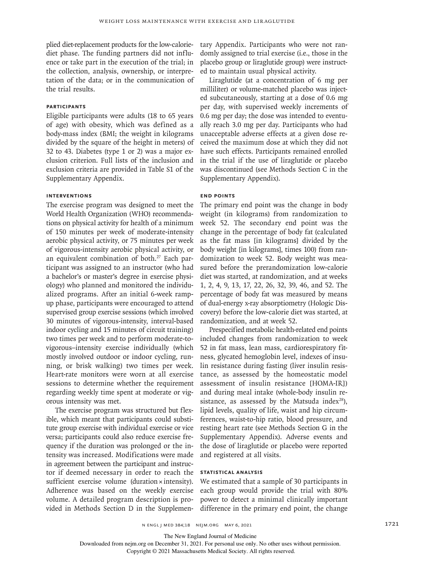plied diet-replacement products for the low-caloriediet phase. The funding partners did not influence or take part in the execution of the trial; in the collection, analysis, ownership, or interpretation of the data; or in the communication of the trial results.

#### **Participants**

Eligible participants were adults (18 to 65 years of age) with obesity, which was defined as a body-mass index (BMI; the weight in kilograms divided by the square of the height in meters) of 32 to 43. Diabetes (type 1 or 2) was a major exclusion criterion. Full lists of the inclusion and exclusion criteria are provided in Table S1 of the Supplementary Appendix.

#### **Interventions**

The exercise program was designed to meet the World Health Organization (WHO) recommendations on physical activity for health of a minimum of 150 minutes per week of moderate-intensity aerobic physical activity, or 75 minutes per week of vigorous-intensity aerobic physical activity, or an equivalent combination of both.<sup>27</sup> Each participant was assigned to an instructor (who had a bachelor's or master's degree in exercise physiology) who planned and monitored the individualized programs. After an initial 6-week rampup phase, participants were encouraged to attend supervised group exercise sessions (which involved 30 minutes of vigorous-intensity, interval-based indoor cycling and 15 minutes of circuit training) two times per week and to perform moderate-tovigorous–intensity exercise individually (which mostly involved outdoor or indoor cycling, running, or brisk walking) two times per week. Heart-rate monitors were worn at all exercise sessions to determine whether the requirement regarding weekly time spent at moderate or vigorous intensity was met.

The exercise program was structured but flexible, which meant that participants could substitute group exercise with individual exercise or vice versa; participants could also reduce exercise frequency if the duration was prolonged or the intensity was increased. Modifications were made in agreement between the participant and instructor if deemed necessary in order to reach the sufficient exercise volume (duration × intensity). Adherence was based on the weekly exercise volume. A detailed program description is provided in Methods Section D in the Supplementary Appendix. Participants who were not randomly assigned to trial exercise (i.e., those in the placebo group or liraglutide group) were instructed to maintain usual physical activity.

Liraglutide (at a concentration of 6 mg per milliliter) or volume-matched placebo was injected subcutaneously, starting at a dose of 0.6 mg per day, with supervised weekly increments of 0.6 mg per day; the dose was intended to eventually reach 3.0 mg per day. Participants who had unacceptable adverse effects at a given dose received the maximum dose at which they did not have such effects. Participants remained enrolled in the trial if the use of liraglutide or placebo was discontinued (see Methods Section C in the Supplementary Appendix).

#### **End Points**

The primary end point was the change in body weight (in kilograms) from randomization to week 52. The secondary end point was the change in the percentage of body fat (calculated as the fat mass [in kilograms] divided by the body weight [in kilograms], times 100) from randomization to week 52. Body weight was measured before the prerandomization low-calorie diet was started, at randomization, and at weeks 1, 2, 4, 9, 13, 17, 22, 26, 32, 39, 46, and 52. The percentage of body fat was measured by means of dual-energy x-ray absorptiometry (Hologic Discovery) before the low-calorie diet was started, at randomization, and at week 52.

Prespecified metabolic health-related end points included changes from randomization to week 52 in fat mass, lean mass, cardiorespiratory fitness, glycated hemoglobin level, indexes of insulin resistance during fasting (liver insulin resistance, as assessed by the homeostatic model assessment of insulin resistance [HOMA-IR]) and during meal intake (whole-body insulin resistance, as assessed by the Matsuda index $^{28}$ ), lipid levels, quality of life, waist and hip circumferences, waist-to-hip ratio, blood pressure, and resting heart rate (see Methods Section G in the Supplementary Appendix). Adverse events and the dose of liraglutide or placebo were reported and registered at all visits.

#### **Statistical Analysis**

We estimated that a sample of 30 participants in each group would provide the trial with 80% power to detect a minimal clinically important difference in the primary end point, the change

The New England Journal of Medicine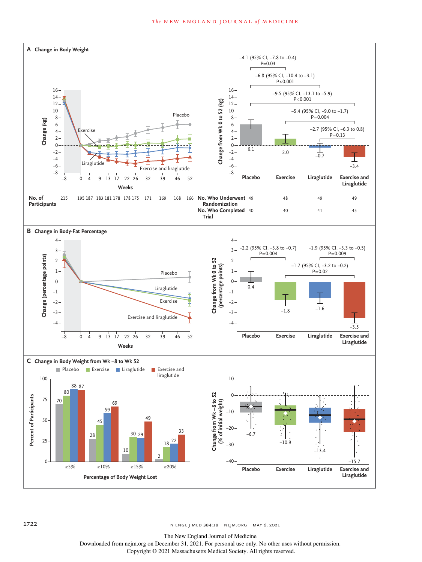#### **The NEW ENGLAND JOURNAL of MEDICINE**



The New England Journal of Medicine

Downloaded from nejm.org on December 31, 2021. For personal use only. No other uses without permission.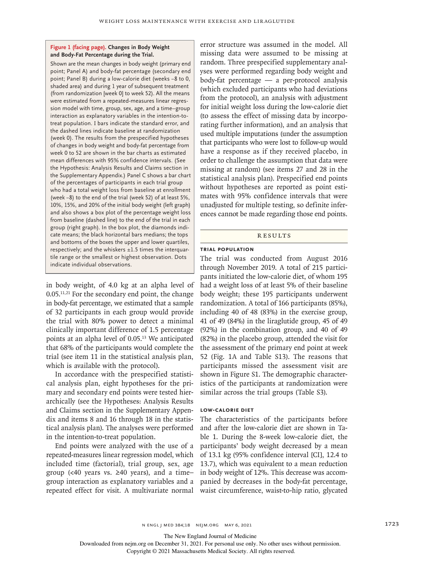#### **Figure 1 (facing page). Changes in Body Weight and Body-Fat Percentage during the Trial.**

Shown are the mean changes in body weight (primary end point; Panel A) and body-fat percentage (secondary end point; Panel B) during a low-calorie diet (weeks −8 to 0, shaded area) and during 1 year of subsequent treatment (from randomization [week 0] to week 52). All the means were estimated from a repeated-measures linear regression model with time, group, sex, age, and a time–group interaction as explanatory variables in the intention-totreat population. I bars indicate the standard error, and the dashed lines indicate baseline at randomization (week 0). The results from the prespecified hypotheses of changes in body weight and body-fat percentage from week 0 to 52 are shown in the bar charts as estimated mean differences with 95% confidence intervals. (See the Hypothesis: Analysis Results and Claims section in the Supplementary Appendix.) Panel C shows a bar chart of the percentages of participants in each trial group who had a total weight loss from baseline at enrollment (week −8) to the end of the trial (week 52) of at least 5%, 10%, 15%, and 20% of the initial body weight (left graph) and also shows a box plot of the percentage weight loss from baseline (dashed line) to the end of the trial in each group (right graph). In the box plot, the diamonds indicate means; the black horizontal bars medians; the tops and bottoms of the boxes the upper and lower quartiles, respectively; and the whiskers  $\pm 1.5$  times the interquartile range or the smallest or highest observation. Dots indicate individual observations.

in body weight, of 4.0 kg at an alpha level of  $0.05$ <sup>11,21</sup> For the secondary end point, the change in body-fat percentage, we estimated that a sample of 32 participants in each group would provide the trial with 80% power to detect a minimal clinically important difference of 1.5 percentage points at an alpha level of 0.05.<sup>13</sup> We anticipated that 68% of the participants would complete the trial (see item 11 in the statistical analysis plan, which is available with the protocol).

In accordance with the prespecified statistical analysis plan, eight hypotheses for the primary and secondary end points were tested hierarchically (see the Hypotheses: Analysis Results and Claims section in the Supplementary Appendix and items 8 and 16 through 18 in the statistical analysis plan). The analyses were performed in the intention-to-treat population.

End points were analyzed with the use of a repeated-measures linear regression model, which included time (factorial), trial group, sex, age group (<40 years vs. ≥40 years), and a time– group interaction as explanatory variables and a repeated effect for visit. A multivariate normal error structure was assumed in the model. All missing data were assumed to be missing at random. Three prespecified supplementary analyses were performed regarding body weight and body-fat percentage — a per-protocol analysis (which excluded participants who had deviations from the protocol), an analysis with adjustment for initial weight loss during the low-calorie diet (to assess the effect of missing data by incorporating further information), and an analysis that used multiple imputations (under the assumption that participants who were lost to follow-up would have a response as if they received placebo, in order to challenge the assumption that data were missing at random) (see items 27 and 28 in the statistical analysis plan). Prespecified end points without hypotheses are reported as point estimates with 95% confidence intervals that were unadjusted for multiple testing, so definite inferences cannot be made regarding those end points.

#### **RESULTS**

#### **Trial Population**

The trial was conducted from August 2016 through November 2019. A total of 215 participants initiated the low-calorie diet, of whom 195 had a weight loss of at least 5% of their baseline body weight; these 195 participants underwent randomization. A total of 166 participants (85%), including 40 of 48 (83%) in the exercise group, 41 of 49 (84%) in the liraglutide group, 45 of 49 (92%) in the combination group, and 40 of 49 (82%) in the placebo group, attended the visit for the assessment of the primary end point at week 52 (Fig. 1A and Table S13). The reasons that participants missed the assessment visit are shown in Figure S1. The demographic characteristics of the participants at randomization were similar across the trial groups (Table S3).

#### **Low-Calorie Diet**

The characteristics of the participants before and after the low-calorie diet are shown in Table 1. During the 8-week low-calorie diet, the participants' body weight decreased by a mean of 13.1 kg (95% confidence interval [CI], 12.4 to 13.7), which was equivalent to a mean reduction in body weight of 12%. This decrease was accompanied by decreases in the body-fat percentage, waist circumference, waist-to-hip ratio, glycated

The New England Journal of Medicine

Downloaded from nejm.org on December 31, 2021. For personal use only. No other uses without permission.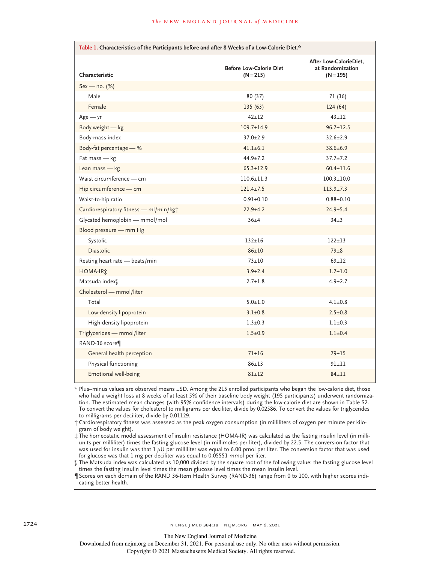| Table 1. Characteristics of the Participants before and after 8 Weeks of a Low-Calorie Diet.* |                                               |                                                           |  |  |  |
|-----------------------------------------------------------------------------------------------|-----------------------------------------------|-----------------------------------------------------------|--|--|--|
| Characteristic                                                                                | <b>Before Low-Calorie Diet</b><br>$(N = 215)$ | After Low-CalorieDiet,<br>at Randomization<br>$(N = 195)$ |  |  |  |
| Sex - no. (%)                                                                                 |                                               |                                                           |  |  |  |
| Male                                                                                          | 80 (37)                                       | 71 (36)                                                   |  |  |  |
| Female                                                                                        | 135(63)                                       | 124(64)                                                   |  |  |  |
| $Age - yr$                                                                                    | $42 + 12$                                     | $43 + 12$                                                 |  |  |  |
| Body weight - kg                                                                              | $109.7 + 14.9$                                | $96.7 \pm 12.5$                                           |  |  |  |
| Body-mass index                                                                               | $37.0 + 2.9$                                  | $32.6 + 2.9$                                              |  |  |  |
| Body-fat percentage - %                                                                       | $41.1 + 6.1$                                  | $38.6 \pm 6.9$                                            |  |  |  |
| Fat mass - kg                                                                                 | $44.9 \pm 7.2$                                | $37.7 \pm 7.2$                                            |  |  |  |
| Lean mass - kg                                                                                | $65.3 \pm 12.9$                               | $60.4 \pm 11.6$                                           |  |  |  |
| Waist circumference - cm                                                                      | $110.6 \pm 11.3$                              | $100.3 \pm 10.0$                                          |  |  |  |
| Hip circumference - cm                                                                        | $121.4 \pm 7.5$                               | $113.9 \pm 7.3$                                           |  |  |  |
| Waist-to-hip ratio                                                                            | $0.91 + 0.10$                                 | $0.88 \pm 0.10$                                           |  |  |  |
| Cardiorespiratory fitness - ml/min/kgt                                                        | $22.9 + 4.2$                                  | $24.9 \pm 5.4$                                            |  |  |  |
| Glycated hemoglobin - mmol/mol                                                                | $36 + 4$                                      | $34\pm3$                                                  |  |  |  |
| Blood pressure - mm Hg                                                                        |                                               |                                                           |  |  |  |
| Systolic                                                                                      | $132 + 16$                                    | $122 \pm 13$                                              |  |  |  |
| <b>Diastolic</b>                                                                              | $86 + 10$                                     | $79\pm8$                                                  |  |  |  |
| Resting heart rate - beats/min                                                                | $73 + 10$                                     | $69+12$                                                   |  |  |  |
| HOMA-IR <sup>*</sup>                                                                          | $3.9 \pm 2.4$                                 | $1.7 \pm 1.0$                                             |  |  |  |
| Matsuda index <sup>[6]</sup>                                                                  | $2.7 \pm 1.8$                                 | $4.9 \pm 2.7$                                             |  |  |  |
| Cholesterol - mmol/liter                                                                      |                                               |                                                           |  |  |  |
| Total                                                                                         | $5.0 + 1.0$                                   | $4.1 \pm 0.8$                                             |  |  |  |
| Low-density lipoprotein                                                                       | $3.1 \pm 0.8$                                 | $2.5 \pm 0.8$                                             |  |  |  |
| High-density lipoprotein                                                                      | $1.3 + 0.3$                                   | $1.1 \pm 0.3$                                             |  |  |  |
| Triglycerides - mmol/liter                                                                    | $1.5 + 0.9$                                   | $1.1 \pm 0.4$                                             |  |  |  |
| RAND-36 score                                                                                 |                                               |                                                           |  |  |  |
| General health perception                                                                     | $71 + 16$                                     | $79 + 15$                                                 |  |  |  |
| Physical functioning                                                                          | $86 + 13$                                     | $91 + 11$                                                 |  |  |  |
| Emotional well-being                                                                          | $81 \pm 12$                                   | $84 \pm 11$                                               |  |  |  |

\* Plus–minus values are observed means ±SD. Among the 215 enrolled participants who began the low-calorie diet, those who had a weight loss at 8 weeks of at least 5% of their baseline body weight (195 participants) underwent randomization. The estimated mean changes (with 95% confidence intervals) during the low-calorie diet are shown in Table S2. To convert the values for cholesterol to milligrams per deciliter, divide by 0.02586. To convert the values for triglycerides to milligrams per deciliter, divide by 0.01129.

† Cardiorespiratory fitness was assessed as the peak oxygen consumption (in milliliters of oxygen per minute per kilogram of body weight).

‡ The homeostatic model assessment of insulin resistance (HOMA-IR) was calculated as the fasting insulin level (in milliunits per milliliter) times the fasting glucose level (in millimoles per liter), divided by 22.5. The conversion factor that was used for insulin was that  $1 \mu U$  per milliliter was equal to 6.00 pmol per liter. The conversion factor that was used for glucose was that 1 mg per deciliter was equal to 0.05551 mmol per liter.

§ The Matsuda index was calculated as 10,000 divided by the square root of the following value: the fasting glucose level times the fasting insulin level times the mean glucose level times the mean insulin level.

¶ Scores on each domain of the RAND 36-Item Health Survey (RAND-36) range from 0 to 100, with higher scores indicating better health.

The New England Journal of Medicine

Downloaded from nejm.org on December 31, 2021. For personal use only. No other uses without permission.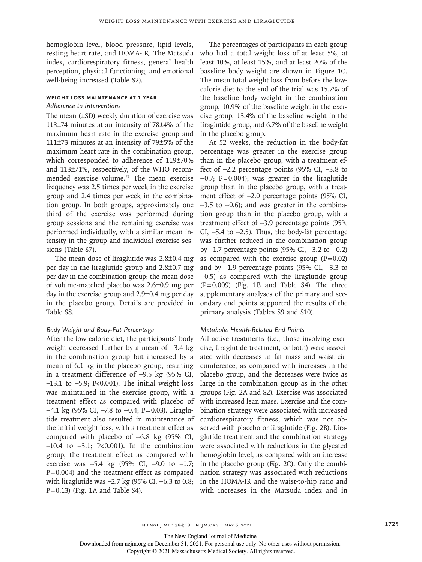hemoglobin level, blood pressure, lipid levels, resting heart rate, and HOMA-IR. The Matsuda index, cardiorespiratory fitness, general health perception, physical functioning, and emotional well-being increased (Table S2).

# **Weight Loss Maintenance at 1 Year**

# *Adherence to Interventions*

The mean (±SD) weekly duration of exercise was 118±74 minutes at an intensity of 78±4% of the maximum heart rate in the exercise group and 111±73 minutes at an intensity of 79±5% of the maximum heart rate in the combination group, which corresponded to adherence of 119±70% and 113±71%, respectively, of the WHO recommended exercise volume.<sup>27</sup> The mean exercise frequency was 2.5 times per week in the exercise group and 2.4 times per week in the combination group. In both groups, approximately one third of the exercise was performed during group sessions and the remaining exercise was performed individually, with a similar mean intensity in the group and individual exercise sessions (Table S7).

The mean dose of liraglutide was 2.8±0.4 mg per day in the liraglutide group and 2.8±0.7 mg per day in the combination group; the mean dose of volume-matched placebo was 2.6±0.9 mg per day in the exercise group and 2.9±0.4 mg per day in the placebo group. Details are provided in Table S8.

#### *Body Weight and Body-Fat Percentage*

After the low-calorie diet, the participants' body weight decreased further by a mean of −3.4 kg in the combination group but increased by a mean of 6.1 kg in the placebo group, resulting in a treatment difference of −9.5 kg (95% CI, −13.1 to −5.9; P<0.001). The initial weight loss was maintained in the exercise group, with a treatment effect as compared with placebo of  $-4.1$  kg (95% CI,  $-7.8$  to  $-0.4$ ; P=0.03). Liraglutide treatment also resulted in maintenance of the initial weight loss, with a treatment effect as compared with placebo of −6.8 kg (95% CI, −10.4 to −3.1; P<0.001). In the combination group, the treatment effect as compared with exercise was −5.4 kg (95% CI, −9.0 to −1.7;  $P = 0.004$ ) and the treatment effect as compared with liraglutide was -2.7 kg (95% CI, -6.3 to 0.8;  $P = 0.13$ ) (Fig. 1A and Table S4).

The percentages of participants in each group who had a total weight loss of at least 5%, at least 10%, at least 15%, and at least 20% of the baseline body weight are shown in Figure 1C. The mean total weight loss from before the lowcalorie diet to the end of the trial was 15.7% of the baseline body weight in the combination group, 10.9% of the baseline weight in the exercise group, 13.4% of the baseline weight in the liraglutide group, and 6.7% of the baseline weight in the placebo group.

At 52 weeks, the reduction in the body-fat percentage was greater in the exercise group than in the placebo group, with a treatment effect of −2.2 percentage points (95% CI, −3.8 to  $-0.7$ ; P=0.004); was greater in the liraglutide group than in the placebo group, with a treatment effect of −2.0 percentage points (95% CI, −3.5 to −0.6); and was greater in the combination group than in the placebo group, with a treatment effect of −3.9 percentage points (95% CI, −5.4 to −2.5). Thus, the body-fat percentage was further reduced in the combination group by −1.7 percentage points (95% CI, −3.2 to −0.2) as compared with the exercise group  $(P=0.02)$ and by −1.9 percentage points (95% CI, −3.3 to −0.5) as compared with the liraglutide group  $(P=0.009)$  (Fig. 1B and Table S4). The three supplementary analyses of the primary and secondary end points supported the results of the primary analysis (Tables S9 and S10).

#### *Metabolic Health-Related End Points*

All active treatments (i.e., those involving exercise, liraglutide treatment, or both) were associated with decreases in fat mass and waist circumference, as compared with increases in the placebo group, and the decreases were twice as large in the combination group as in the other groups (Fig. 2A and S2). Exercise was associated with increased lean mass. Exercise and the combination strategy were associated with increased cardiorespiratory fitness, which was not observed with placebo or liraglutide (Fig. 2B). Liraglutide treatment and the combination strategy were associated with reductions in the glycated hemoglobin level, as compared with an increase in the placebo group (Fig. 2C). Only the combination strategy was associated with reductions in the HOMA-IR and the waist-to-hip ratio and with increases in the Matsuda index and in

The New England Journal of Medicine

Downloaded from nejm.org on December 31, 2021. For personal use only. No other uses without permission.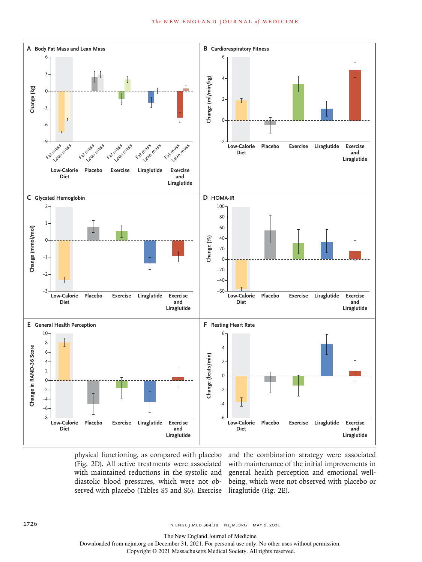#### **The NEW ENGLAND JOURNAL of MEDICINE**



physical functioning, as compared with placebo and the combination strategy were associated served with placebo (Tables S5 and S6). Exercise liraglutide (Fig. 2E).

(Fig. 2D). All active treatments were associated with maintenance of the initial improvements in with maintained reductions in the systolic and general health perception and emotional welldiastolic blood pressures, which were not ob-being, which were not observed with placebo or

The New England Journal of Medicine

Downloaded from nejm.org on December 31, 2021. For personal use only. No other uses without permission.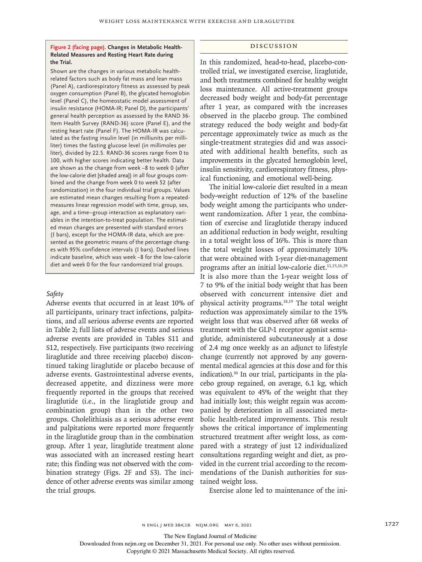#### **Figure 2 (facing page). Changes in Metabolic Health-Related Measures and Resting Heart Rate during the Trial.**

Shown are the changes in various metabolic healthrelated factors such as body fat mass and lean mass (Panel A), cardiorespiratory fitness as assessed by peak oxygen consumption (Panel B), the glycated hemoglobin level (Panel C), the homeostatic model assessment of insulin resistance (HOMA-IR; Panel D), the participants' general health perception as assessed by the RAND 36- Item Health Survey (RAND-36) score (Panel E), and the resting heart rate (Panel F). The HOMA-IR was calculated as the fasting insulin level (in milliunits per milliliter) times the fasting glucose level (in millimoles per liter), divided by 22.5. RAND-36 scores range from 0 to 100, with higher scores indicating better health. Data are shown as the change from week −8 to week 0 (after the low-calorie diet [shaded area]) in all four groups combined and the change from week 0 to week 52 (after randomization) in the four individual trial groups. Values are estimated mean changes resulting from a repeatedmeasures linear regression model with time, group, sex, age, and a time–group interaction as explanatory variables in the intention-to-treat population. The estimated mean changes are presented with standard errors (I bars), except for the HOMA-IR data, which are presented as the geometric means of the percentage changes with 95% confidence intervals (I bars). Dashed lines indicate baseline, which was week −8 for the low-calorie diet and week 0 for the four randomized trial groups.

## *Safety*

Adverse events that occurred in at least 10% of all participants, urinary tract infections, palpitations, and all serious adverse events are reported in Table 2; full lists of adverse events and serious adverse events are provided in Tables S11 and S12, respectively. Five participants (two receiving liraglutide and three receiving placebo) discontinued taking liraglutide or placebo because of adverse events. Gastrointestinal adverse events, decreased appetite, and dizziness were more frequently reported in the groups that received liraglutide (i.e., in the liraglutide group and combination group) than in the other two groups. Cholelithiasis as a serious adverse event and palpitations were reported more frequently in the liraglutide group than in the combination group. After 1 year, liraglutide treatment alone was associated with an increased resting heart rate; this finding was not observed with the combination strategy (Figs. 2F and S3). The incidence of other adverse events was similar among the trial groups.

#### Discussion

In this randomized, head-to-head, placebo-controlled trial, we investigated exercise, liraglutide, and both treatments combined for healthy weight loss maintenance. All active-treatment groups decreased body weight and body-fat percentage after 1 year, as compared with the increases observed in the placebo group. The combined strategy reduced the body weight and body-fat percentage approximately twice as much as the single-treatment strategies did and was associated with additional health benefits, such as improvements in the glycated hemoglobin level, insulin sensitivity, cardiorespiratory fitness, physical functioning, and emotional well-being.

The initial low-calorie diet resulted in a mean body-weight reduction of 12% of the baseline body weight among the participants who underwent randomization. After 1 year, the combination of exercise and liraglutide therapy induced an additional reduction in body weight, resulting in a total weight loss of 16%. This is more than the total weight losses of approximately 10% that were obtained with 1-year diet-management programs after an initial low-calorie diet.<sup>11,15,16,29</sup> It is also more than the 1-year weight loss of 7 to 9% of the initial body weight that has been observed with concurrent intensive diet and physical activity programs.18,19 The total weight reduction was approximately similar to the 15% weight loss that was observed after 68 weeks of treatment with the GLP-1 receptor agonist semaglutide, administered subcutaneously at a dose of 2.4 mg once weekly as an adjunct to lifestyle change (currently not approved by any governmental medical agencies at this dose and for this indication).30 In our trial, participants in the placebo group regained, on average, 6.1 kg, which was equivalent to 45% of the weight that they had initially lost; this weight regain was accompanied by deterioration in all associated metabolic health-related improvements. This result shows the critical importance of implementing structured treatment after weight loss, as compared with a strategy of just 12 individualized consultations regarding weight and diet, as provided in the current trial according to the recommendations of the Danish authorities for sustained weight loss.

Exercise alone led to maintenance of the ini-

The New England Journal of Medicine

Downloaded from nejm.org on December 31, 2021. For personal use only. No other uses without permission.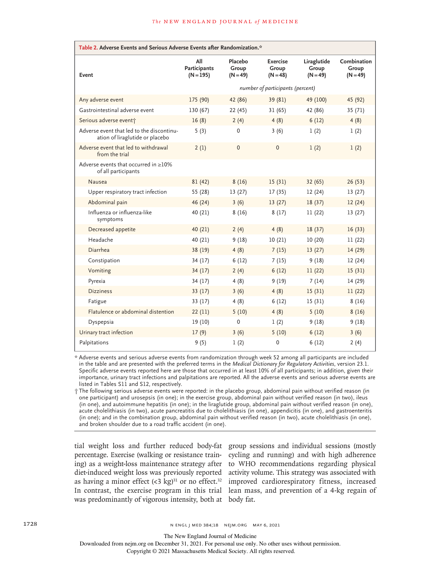| Table 2. Adverse Events and Serious Adverse Events after Randomization.*     |                                           |                                |                                 |                                    |                                    |  |
|------------------------------------------------------------------------------|-------------------------------------------|--------------------------------|---------------------------------|------------------------------------|------------------------------------|--|
| Event                                                                        | All<br><b>Participants</b><br>$(N = 195)$ | Placebo<br>Group<br>$(N = 49)$ | Exercise<br>Group<br>$(N = 48)$ | Liraglutide<br>Group<br>$(N = 49)$ | Combination<br>Group<br>$(N = 49)$ |  |
|                                                                              | number of participants (percent)          |                                |                                 |                                    |                                    |  |
| Any adverse event                                                            | 175 (90)                                  | 42 (86)                        | 39 (81)                         | 49 (100)                           | 45 (92)                            |  |
| Gastrointestinal adverse event                                               | 130 (67)                                  | 22(45)                         | 31(65)                          | 42 (86)                            | 35 (71)                            |  |
| Serious adverse event†                                                       | 16(8)                                     | 2(4)                           | 4(8)                            | 6(12)                              | 4(8)                               |  |
| Adverse event that led to the discontinu-<br>ation of liraglutide or placebo | 5(3)                                      | $\mathbf 0$                    | 3(6)                            | 1(2)                               | 1(2)                               |  |
| Adverse event that led to withdrawal<br>from the trial                       | 2(1)                                      | $\Omega$                       | $\Omega$                        | 1(2)                               | 1(2)                               |  |
| Adverse events that occurred in $\geq$ 10%<br>of all participants            |                                           |                                |                                 |                                    |                                    |  |
| Nausea                                                                       | 81(42)                                    | 8(16)                          | 15(31)                          | 32(65)                             | 26(53)                             |  |
| Upper respiratory tract infection                                            | 55 (28)                                   | 13(27)                         | 17(35)                          | 12(24)                             | 13(27)                             |  |
| Abdominal pain                                                               | 46 (24)                                   | 3(6)                           | 13(27)                          | 18(37)                             | 12(24)                             |  |
| Influenza or influenza-like<br>symptoms                                      | 40 (21)                                   | 8(16)                          | 8(17)                           | 11(22)                             | 13(27)                             |  |
| Decreased appetite                                                           | 40 (21)                                   | 2(4)                           | 4(8)                            | 18(37)                             | 16(33)                             |  |
| Headache                                                                     | 40 (21)                                   | 9(18)                          | 10(21)                          | 10(20)                             | 11(22)                             |  |
| Diarrhea                                                                     | 38 (19)                                   | 4(8)                           | 7(15)                           | 13(27)                             | 14(29)                             |  |
| Constipation                                                                 | 34 (17)                                   | 6(12)                          | 7(15)                           | 9(18)                              | 12(24)                             |  |
| Vomiting                                                                     | 34(17)                                    | 2(4)                           | 6(12)                           | 11(22)                             | 15(31)                             |  |
| Pyrexia                                                                      | 34 (17)                                   | 4(8)                           | 9(19)                           | 7(14)                              | 14 (29)                            |  |
| <b>Dizziness</b>                                                             | 33(17)                                    | 3(6)                           | 4(8)                            | 15(31)                             | 11(22)                             |  |
| Fatigue                                                                      | 33 (17)                                   | 4(8)                           | 6(12)                           | 15(31)                             | 8(16)                              |  |
| Flatulence or abdominal distention                                           | 22(11)                                    | 5(10)                          | 4(8)                            | 5(10)                              | 8(16)                              |  |
| Dyspepsia                                                                    | 19 (10)                                   | 0                              | 1(2)                            | 9(18)                              | 9(18)                              |  |
| Urinary tract infection                                                      | 17(9)                                     | 3(6)                           | 5(10)                           | 6(12)                              | 3(6)                               |  |
| Palpitations                                                                 | 9(5)                                      | 1(2)                           | 0                               | 6(12)                              | 2(4)                               |  |

\* Adverse events and serious adverse events from randomization through week 52 among all participants are included in the table and are presented with the preferred terms in the *Medical Dictionary for Regulatory Activities*, version 23.1. Specific adverse events reported here are those that occurred in at least 10% of all participants; in addition, given their importance, urinary tract infections and palpitations are reported. All the adverse events and serious adverse events are listed in Tables S11 and S12, respectively.

† The following serious adverse events were reported: in the placebo group, abdominal pain without verified reason (in one participant) and urosepsis (in one); in the exercise group, abdominal pain without verified reason (in two), ileus (in one), and autoimmune hepatitis (in one); in the liraglutide group, abdominal pain without verified reason (in one), acute cholelithiasis (in two), acute pancreatitis due to cholelithiasis (in one), appendicitis (in one), and gastroenteritis (in one); and in the combination group, abdominal pain without verified reason (in two), acute cholelithiasis (in one), and broken shoulder due to a road traffic accident (in one).

percentage. Exercise (walking or resistance training) as a weight-loss maintenance strategy after as having a minor effect  $(3 \text{ kg})^{31}$  or no effect.<sup>32</sup> was predominantly of vigorous intensity, both at body fat.

tial weight loss and further reduced body-fat group sessions and individual sessions (mostly diet-induced weight loss was previously reported activity volume. This strategy was associated with In contrast, the exercise program in this trial lean mass, and prevention of a 4-kg regain of cycling and running) and with high adherence to WHO recommendations regarding physical improved cardiorespiratory fitness, increased

The New England Journal of Medicine

Downloaded from nejm.org on December 31, 2021. For personal use only. No other uses without permission.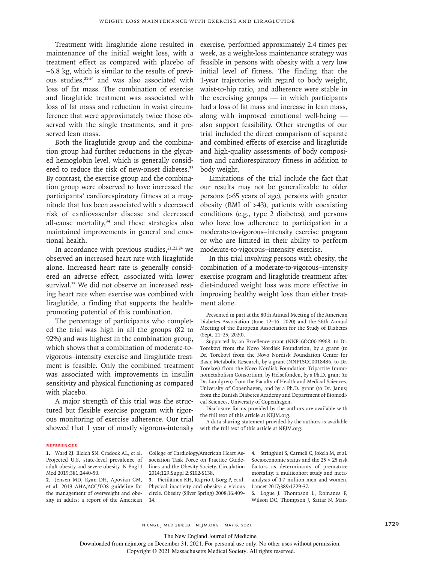maintenance of the initial weight loss, with a treatment effect as compared with placebo of −6.8 kg, which is similar to the results of previous studies, <sup>21-24</sup> and was also associated with loss of fat mass. The combination of exercise and liraglutide treatment was associated with loss of fat mass and reduction in waist circumference that were approximately twice those observed with the single treatments, and it preserved lean mass.

Both the liraglutide group and the combination group had further reductions in the glycated hemoglobin level, which is generally considered to reduce the risk of new-onset diabetes.<sup>33</sup> By contrast, the exercise group and the combination group were observed to have increased the participants' cardiorespiratory fitness at a magnitude that has been associated with a decreased risk of cardiovascular disease and decreased all-cause mortality, $34$  and these strategies also maintained improvements in general and emotional health.

In accordance with previous studies,  $21,22,24$  we observed an increased heart rate with liraglutide alone. Increased heart rate is generally considered an adverse effect, associated with lower survival.<sup>35</sup> We did not observe an increased resting heart rate when exercise was combined with liraglutide, a finding that supports the healthpromoting potential of this combination.

The percentage of participants who completed the trial was high in all the groups (82 to 92%) and was highest in the combination group, which shows that a combination of moderate-tovigorous–intensity exercise and liraglutide treatment is feasible. Only the combined treatment was associated with improvements in insulin sensitivity and physical functioning as compared with placebo.

A major strength of this trial was the structured but flexible exercise program with rigorous monitoring of exercise adherence. Our trial showed that 1 year of mostly vigorous-intensity

Treatment with liraglutide alone resulted in exercise, performed approximately 2.4 times per week, as a weight-loss maintenance strategy was feasible in persons with obesity with a very low initial level of fitness. The finding that the 1-year trajectories with regard to body weight, waist-to-hip ratio, and adherence were stable in the exercising groups — in which participants had a loss of fat mass and increase in lean mass, along with improved emotional well-being also support feasibility. Other strengths of our trial included the direct comparison of separate and combined effects of exercise and liraglutide and high-quality assessments of body composition and cardiorespiratory fitness in addition to body weight.

> Limitations of the trial include the fact that our results may not be generalizable to older persons (>65 years of age), persons with greater obesity (BMI of >43), patients with coexisting conditions (e.g., type 2 diabetes), and persons who have low adherence to participation in a moderate-to-vigorous–intensity exercise program or who are limited in their ability to perform moderate-to-vigorous–intensity exercise.

> In this trial involving persons with obesity, the combination of a moderate-to-vigorous–intensity exercise program and liraglutide treatment after diet-induced weight loss was more effective in improving healthy weight loss than either treatment alone.

> Presented in part at the 80th Annual Meeting of the American Diabetes Association (June 12–16, 2020) and the 56th Annual Meeting of the European Association for the Study of Diabetes (Sept. 21–25, 2020).

> Supported by an Excellence grant (NNF16OC0019968, to Dr. Torekov) from the Novo Nordisk Foundation, by a grant (to Dr. Torekov) from the Novo Nordisk Foundation Center for Basic Metabolic Research, by a grant (NNF15CC0018486, to Dr. Torekov) from the Novo Nordisk Foundation Tripartite Immunometabolism Consortium, by Helsefonden, by a Ph.D. grant (to Dr. Lundgren) from the Faculty of Health and Medical Sciences, University of Copenhagen, and by a Ph.D. grant (to Dr. Janus) from the Danish Diabetes Academy and Department of Biomedical Sciences, University of Copenhagen.

> Disclosure forms provided by the authors are available with the full text of this article at NEJM.org.

> A data sharing statement provided by the authors is available with the full text of this article at NEJM.org.

#### **References**

**2.** Jensen MD, Ryan DH, Apovian CM, et al. 2013 AHA/ACC/TOS guideline for the management of overweight and obesity in adults: a report of the American College of Cardiology/American Heart Association Task Force on Practice Guidelines and the Obesity Society. Circulation 2014;129: Suppl 2: S102-S138.

**3.** Pietiläinen KH, Kaprio J, Borg P, et al. Physical inactivity and obesity: a vicious circle. Obesity (Silver Spring) 2008; 16: 409- 14.

**4.** Stringhini S, Carmeli C, Jokela M, et al. Socioeconomic status and the 25 × 25 risk factors as determinants of premature mortality: a multicohort study and metaanalysis of 1·7 million men and women. Lancet 2017;389:1229-37.

**5.** Logue J, Thompson L, Romanes F, Wilson DC, Thompson J, Sattar N. Man-

n engl j med 384;18 nejm.org May 6, 2021 1729 1729

The New England Journal of Medicine

Downloaded from nejm.org on December 31, 2021. For personal use only. No other uses without permission.

**<sup>1.</sup>** Ward ZJ, Bleich SN, Cradock AL, et al. Projected U.S. state-level prevalence of adult obesity and severe obesity. N Engl J Med 2019;381:2440-50.